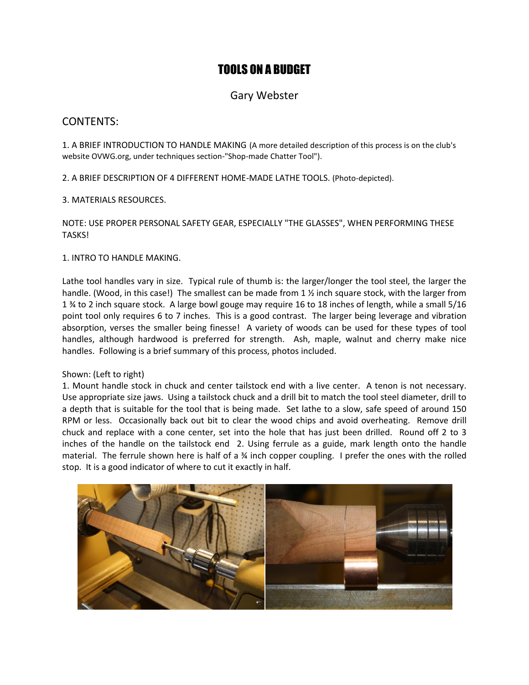# TOOLS ON A BUDGET

# Gary Webster

## CONTENTS:

1. A BRIEF INTRODUCTION TO HANDLE MAKING (A more detailed description of this process is on the club's website OVWG.org, under techniques section-"Shop-made Chatter Tool").

2. A BRIEF DESCRIPTION OF 4 DIFFERENT HOME-MADE LATHE TOOLS. (Photo-depicted).

3. MATERIALS RESOURCES.

NOTE: USE PROPER PERSONAL SAFETY GEAR, ESPECIALLY "THE GLASSES", WHEN PERFORMING THESE TASKS!

1. INTRO TO HANDLE MAKING.

Lathe tool handles vary in size. Typical rule of thumb is: the larger/longer the tool steel, the larger the handle. (Wood, in this case!) The smallest can be made from 1  $\frac{1}{2}$  inch square stock, with the larger from 1 ¾ to 2 inch square stock. A large bowl gouge may require 16 to 18 inches of length, while a small 5/16 point tool only requires 6 to 7 inches. This is a good contrast. The larger being leverage and vibration absorption, verses the smaller being finesse! A variety of woods can be used for these types of tool handles, although hardwood is preferred for strength. Ash, maple, walnut and cherry make nice handles. Following is a brief summary of this process, photos included.

### Shown: (Left to right)

1. Mount handle stock in chuck and center tailstock end with a live center. A tenon is not necessary. Use appropriate size jaws. Using a tailstock chuck and a drill bit to match the tool steel diameter, drill to a depth that is suitable for the tool that is being made. Set lathe to a slow, safe speed of around 150 RPM or less. Occasionally back out bit to clear the wood chips and avoid overheating. Remove drill chuck and replace with a cone center, set into the hole that has just been drilled. Round off 2 to 3 inches of the handle on the tailstock end 2. Using ferrule as a guide, mark length onto the handle material. The ferrule shown here is half of a ¾ inch copper coupling. I prefer the ones with the rolled stop. It is a good indicator of where to cut it exactly in half.

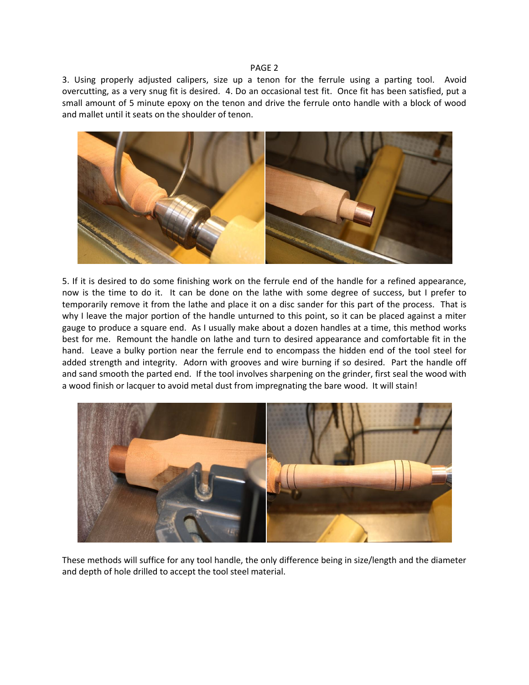3. Using properly adjusted calipers, size up a tenon for the ferrule using a parting tool. Avoid overcutting, as a very snug fit is desired. 4. Do an occasional test fit. Once fit has been satisfied, put a small amount of 5 minute epoxy on the tenon and drive the ferrule onto handle with a block of wood and mallet until it seats on the shoulder of tenon.



5. If it is desired to do some finishing work on the ferrule end of the handle for a refined appearance, now is the time to do it. It can be done on the lathe with some degree of success, but I prefer to temporarily remove it from the lathe and place it on a disc sander for this part of the process. That is why I leave the major portion of the handle unturned to this point, so it can be placed against a miter gauge to produce a square end. As I usually make about a dozen handles at a time, this method works best for me. Remount the handle on lathe and turn to desired appearance and comfortable fit in the hand. Leave a bulky portion near the ferrule end to encompass the hidden end of the tool steel for added strength and integrity. Adorn with grooves and wire burning if so desired. Part the handle off and sand smooth the parted end. If the tool involves sharpening on the grinder, first seal the wood with a wood finish or lacquer to avoid metal dust from impregnating the bare wood. It will stain!



These methods will suffice for any tool handle, the only difference being in size/length and the diameter and depth of hole drilled to accept the tool steel material.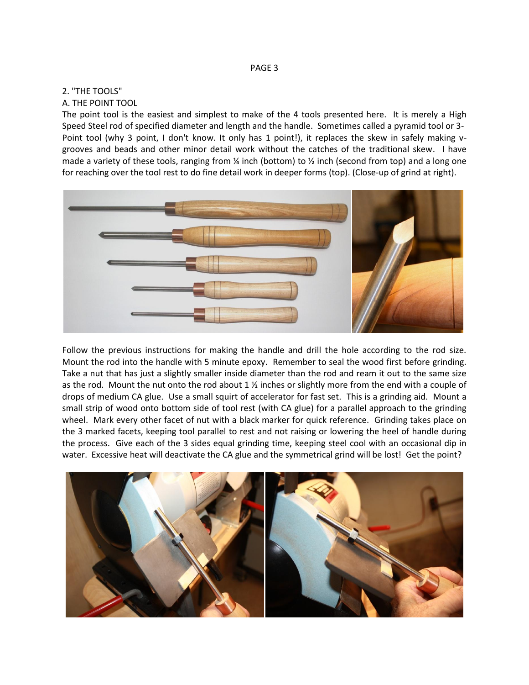#### 2. "THE TOOLS"

#### A. THE POINT TOOL

The point tool is the easiest and simplest to make of the 4 tools presented here. It is merely a High Speed Steel rod of specified diameter and length and the handle. Sometimes called a pyramid tool or 3- Point tool (why 3 point, I don't know. It only has 1 point!), it replaces the skew in safely making vgrooves and beads and other minor detail work without the catches of the traditional skew. I have made a variety of these tools, ranging from  $\frac{1}{2}$  inch (bottom) to  $\frac{1}{2}$  inch (second from top) and a long one for reaching over the tool rest to do fine detail work in deeper forms (top). (Close-up of grind at right).



Follow the previous instructions for making the handle and drill the hole according to the rod size. Mount the rod into the handle with 5 minute epoxy. Remember to seal the wood first before grinding. Take a nut that has just a slightly smaller inside diameter than the rod and ream it out to the same size as the rod. Mount the nut onto the rod about  $1 \frac{1}{2}$  inches or slightly more from the end with a couple of drops of medium CA glue. Use a small squirt of accelerator for fast set. This is a grinding aid. Mount a small strip of wood onto bottom side of tool rest (with CA glue) for a parallel approach to the grinding wheel. Mark every other facet of nut with a black marker for quick reference. Grinding takes place on the 3 marked facets, keeping tool parallel to rest and not raising or lowering the heel of handle during the process. Give each of the 3 sides equal grinding time, keeping steel cool with an occasional dip in water. Excessive heat will deactivate the CA glue and the symmetrical grind will be lost! Get the point?

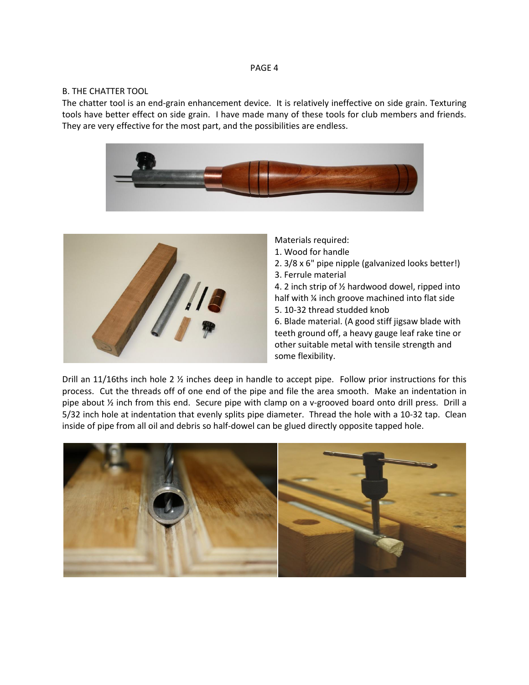#### B. THE CHATTER TOOL

The chatter tool is an end-grain enhancement device. It is relatively ineffective on side grain. Texturing tools have better effect on side grain. I have made many of these tools for club members and friends. They are very effective for the most part, and the possibilities are endless.





Materials required:

- 1. Wood for handle
- 2. 3/8 x 6" pipe nipple (galvanized looks better!)
- 3. Ferrule material

4. 2 inch strip of ½ hardwood dowel, ripped into half with % inch groove machined into flat side 5. 10-32 thread studded knob

6. Blade material. (A good stiff jigsaw blade with teeth ground off, a heavy gauge leaf rake tine or other suitable metal with tensile strength and some flexibility.

Drill an 11/16ths inch hole 2 ½ inches deep in handle to accept pipe. Follow prior instructions for this process. Cut the threads off of one end of the pipe and file the area smooth. Make an indentation in pipe about ½ inch from this end. Secure pipe with clamp on a v-grooved board onto drill press. Drill a 5/32 inch hole at indentation that evenly splits pipe diameter. Thread the hole with a 10-32 tap. Clean inside of pipe from all oil and debris so half-dowel can be glued directly opposite tapped hole.

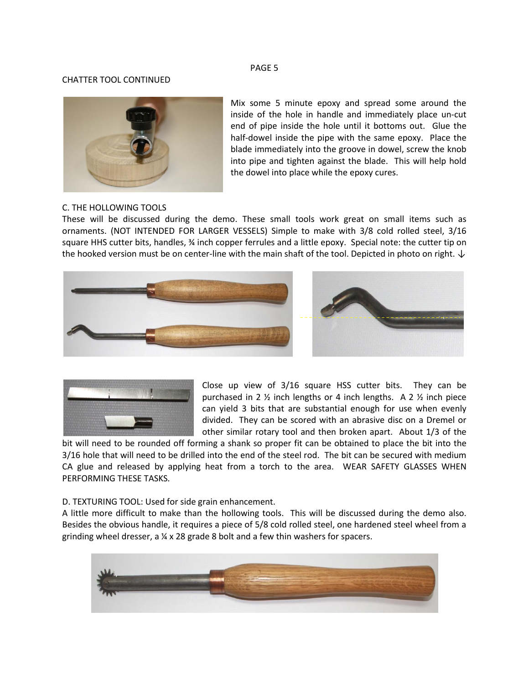#### CHATTER TOOL CONTINUED



Mix some 5 minute epoxy and spread some around the inside of the hole in handle and immediately place un-cut end of pipe inside the hole until it bottoms out. Glue the half-dowel inside the pipe with the same epoxy. Place the blade immediately into the groove in dowel, screw the knob into pipe and tighten against the blade. This will help hold the dowel into place while the epoxy cures.

#### C. THE HOLLOWING TOOLS

These will be discussed during the demo. These small tools work great on small items such as ornaments. (NOT INTENDED FOR LARGER VESSELS) Simple to make with 3/8 cold rolled steel, 3/16 square HHS cutter bits, handles, % inch copper ferrules and a little epoxy. Special note: the cutter tip on the hooked version must be on center-line with the main shaft of the tool. Depicted in photo on right.  $\downarrow$ 







Close up view of 3/16 square HSS cutter bits. They can be purchased in 2 ½ inch lengths or 4 inch lengths. A 2 ½ inch piece can yield 3 bits that are substantial enough for use when evenly divided. They can be scored with an abrasive disc on a Dremel or other similar rotary tool and then broken apart. About 1/3 of the

bit will need to be rounded off forming a shank so proper fit can be obtained to place the bit into the 3/16 hole that will need to be drilled into the end of the steel rod. The bit can be secured with medium CA glue and released by applying heat from a torch to the area. WEAR SAFETY GLASSES WHEN PERFORMING THESE TASKS.

D. TEXTURING TOOL: Used for side grain enhancement.

A little more difficult to make than the hollowing tools. This will be discussed during the demo also. Besides the obvious handle, it requires a piece of 5/8 cold rolled steel, one hardened steel wheel from a grinding wheel dresser, a ¼ x 28 grade 8 bolt and a few thin washers for spacers.